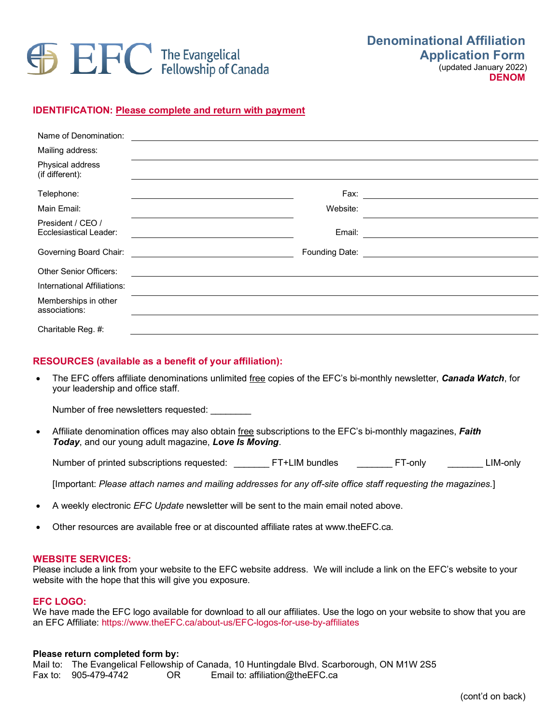# **SEFC** The Evangelical

**DENOM** 

**IDENTIFICATION: Please complete and return with payment**

| Name of Denomination:                                                    |          |  |
|--------------------------------------------------------------------------|----------|--|
| Mailing address:                                                         |          |  |
| Physical address<br>(if different):                                      |          |  |
| Telephone:                                                               |          |  |
| Main Email:                                                              | Website: |  |
| President / CEO /<br>Ecclesiastical Leader:                              |          |  |
| Governing Board Chair: Cambridge Chair: Cambridge Coverning Board Chair: |          |  |
| <b>Other Senior Officers:</b>                                            |          |  |
| International Affiliations:                                              |          |  |
| Memberships in other<br>associations:                                    |          |  |
| Charitable Reg. #:                                                       |          |  |

## **RESOURCES (available as a benefit of your affiliation):**

• The EFC offers affiliate denominations unlimited free copies of the EFC's bi-monthly newsletter, *Canada Watch*, for your leadership and office staff.

Number of free newsletters requested:

• Affiliate denomination offices may also obtain free subscriptions to the EFC's bi-monthly magazines, *Faith Today*, and our young adult magazine, *Love Is Moving*.

Number of printed subscriptions requested: \_\_\_\_\_\_\_\_ FT+LIM bundles \_\_\_\_\_\_\_\_ FT-only \_\_\_\_\_\_\_\_ LIM-only

[Important: *Please attach names and mailing addresses for any off-site office staff requesting the magazines.*]

- A weekly electronic *EFC Update* newsletter will be sent to the main email noted above.
- Other resources are available free or at discounted affiliate rates at www.theEFC.ca.

## **WEBSITE SERVICES:**

Please include a link from your website to the EFC website address. We will include a link on the EFC's website to your website with the hope that this will give you exposure.

### **EFC LOGO:**

We have made the EFC logo available for download to all our affiliates. Use the logo on your website to show that you are an EFC Affiliate: https://www.theEFC.ca/about-us/EFC-logos-for-use-by-affiliates

#### **Please return completed form by:**

Mail to: The Evangelical Fellowship of Canada, 10 Huntingdale Blvd. Scarborough, ON M1W 2S5<br>Fax to: 905-479-4742 OR Email to: affiliation@theEFC.ca OR Email to: affiliation@theEFC.ca